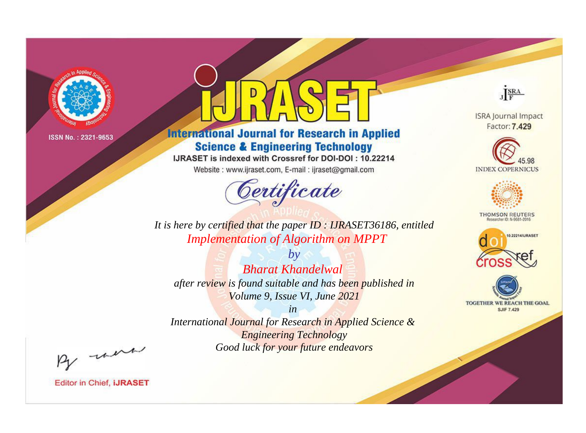

# **International Journal for Research in Applied Science & Engineering Technology**

IJRASET is indexed with Crossref for DOI-DOI: 10.22214

Website: www.ijraset.com, E-mail: ijraset@gmail.com



JERA

**ISRA Journal Impact** Factor: 7.429





**THOMSON REUTERS** 



TOGETHER WE REACH THE GOAL **SJIF 7.429** 

It is here by certified that the paper ID: IJRASET36186, entitled **Implementation of Algorithm on MPPT** 

**Bharat Khandelwal** after review is found suitable and has been published in Volume 9, Issue VI, June 2021

 $b\nu$ 

 $in$ International Journal for Research in Applied Science & **Engineering Technology** Good luck for your future endeavors

By morn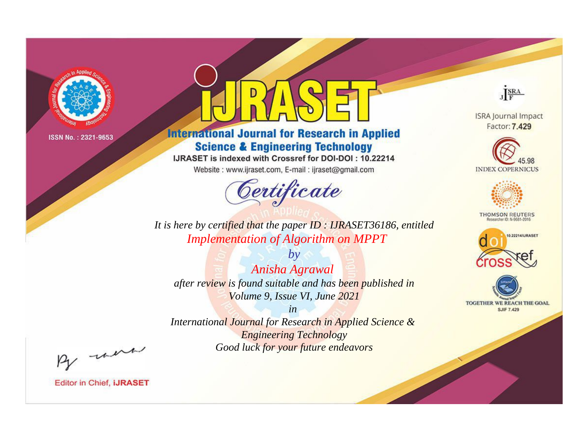

# **International Journal for Research in Applied Science & Engineering Technology**

IJRASET is indexed with Crossref for DOI-DOI: 10.22214

Website: www.ijraset.com, E-mail: ijraset@gmail.com



JERA

**ISRA Journal Impact** Factor: 7.429





**THOMSON REUTERS** 



TOGETHER WE REACH THE GOAL **SJIF 7.429** 

*It is here by certified that the paper ID : IJRASET36186, entitled Implementation of Algorithm on MPPT*

*by Anisha Agrawal after review is found suitable and has been published in Volume 9, Issue VI, June 2021*

*in* 

*International Journal for Research in Applied Science & Engineering Technology Good luck for your future endeavors*

By morn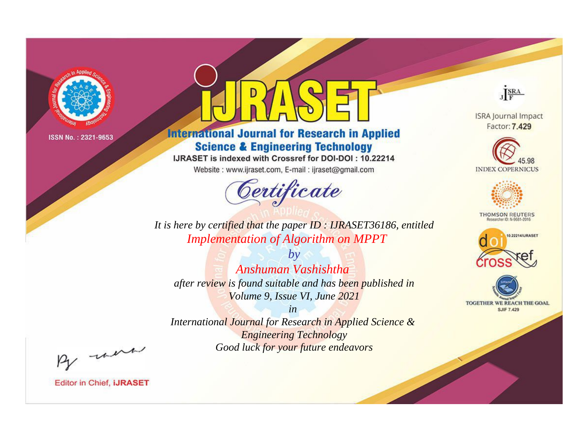

# **International Journal for Research in Applied Science & Engineering Technology**

IJRASET is indexed with Crossref for DOI-DOI: 10.22214

Website: www.ijraset.com, E-mail: ijraset@gmail.com



JERA

**ISRA Journal Impact** Factor: 7.429





**THOMSON REUTERS** 



TOGETHER WE REACH THE GOAL **SJIF 7.429** 

It is here by certified that the paper ID: IJRASET36186, entitled **Implementation of Algorithm on MPPT** 

 $b\nu$ Anshuman Vashishtha after review is found suitable and has been published in Volume 9, Issue VI, June 2021

 $in$ International Journal for Research in Applied Science & **Engineering Technology** Good luck for your future endeavors

By morn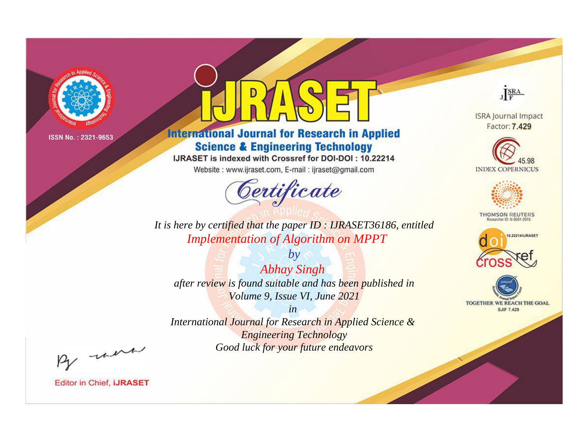

# **International Journal for Research in Applied Science & Engineering Technology**

IJRASET is indexed with Crossref for DOI-DOI: 10.22214

Website: www.ijraset.com, E-mail: ijraset@gmail.com



JERA

**ISRA Journal Impact** Factor: 7.429





**THOMSON REUTERS** 



TOGETHER WE REACH THE GOAL **SJIF 7.429** 

*It is here by certified that the paper ID : IJRASET36186, entitled Implementation of Algorithm on MPPT*

*by Abhay Singh after review is found suitable and has been published in Volume 9, Issue VI, June 2021*

*in* 

*International Journal for Research in Applied Science & Engineering Technology Good luck for your future endeavors*

By morn